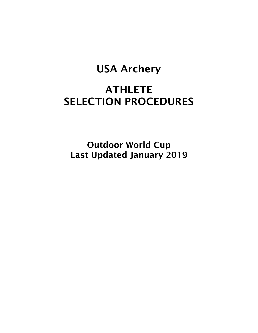# USA Archery

# **ATHLETE** SELECTION PROCEDURES

Outdoor World Cup Last Updated January 2019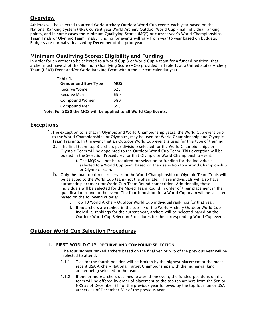# **Overview**

Athletes will be selected to attend World Archery Outdoor World Cup events each year based on the National Ranking System (NRS), current year World Archery Outdoor World Cup Final individual ranking points, and in some cases the Minimum Qualifying Scores (MQS) or current year's World Championships Team Trials or Olympic Team Trials. Funding for events will vary from year to year based on budgets. Budgets are normally finalized by December of the prior year.

### Minimum Qualifying Scores: Eligibility and Funding

In order for an archer to be selected to a World Cup 3 or World Cup 4 team for a funded position, that archer must have shot the Minimum Qualifying Score (MQS) provided in Table 1. at a United States Archery Team (USAT) Event and/or World Ranking Event within the current calendar year.

| Table 1.                                               |            |
|--------------------------------------------------------|------------|
| <b>Gender and Bow Type</b>                             | <b>MQS</b> |
| Recurve Women                                          | 625        |
| Recurve Men                                            | 650        |
| Compound Women                                         | 680        |
| Compound Men                                           | 695        |
| For 2020 the MOS will be applied to all World Cup Ever |            |

Note: For 2020 the MQS will be applied to all World Cup Events.

# Exceptions

- 1.The exception to is that in Olympic and World Championship years, the World Cup event prior to the World Championships or Olympics, may be used for World Championship and Olympic Team Training. In the event that an Outdoor World Cup event is used for this type of training:
	- a. The final team (top 3 archers per division) selected for the World Championships or Olympic Team will be appointed to the Outdoor World Cup Team. This exception will be posted in the Selection Procedures for that Olympic or World Championship event.
		- i. The MQS will not be required for selection or funding for the individuals selected to a World Cup team based on their selection to a World Championship or Olympic Team.
	- b. Only the final top three archers from the World Championship or Olympic Team Trials will be selected to the World Cup team (not the alternate). These individuals will also have automatic placement for World Cup Team Round competition. Additionally, these individuals will be selected for the Mixed Team Round in order of their placement in the qualification round at the event. The fourth position for a World Cup team will be selected based on the following criteria:
		- i. Top 10 World Archery Outdoor World Cup individual rankings for that year.
		- ii. If no archers are ranked in the top 10 of the World Archery Outdoor World Cup individual rankings for the current year, archers will be selected based on the Outdoor World Cup Selection Procedures for the corresponding World Cup event.

## Outdoor World Cup Selection Procedures

#### 1. FIRST WORLD CUP - RECURVE AND COMPOUND SELECTION

- 1.1 The four highest ranked archers based on the final Senior NRS of the previous year will be selected to attend.
	- 1.1.1 Ties for the fourth position will be broken by the highest placement at the most recent USA Archery National Target Championships with the higher-ranking archer being selected to the team.
	- 1.1.2 If one or more archers declines to attend the event, the funded positions on the team will be offered by order of placement to the top ten archers from the Senior NRS as of December  $31<sup>st</sup>$  of the previous year followed by the top four Junior USAT archers as of December 31<sup>st</sup> of the previous year.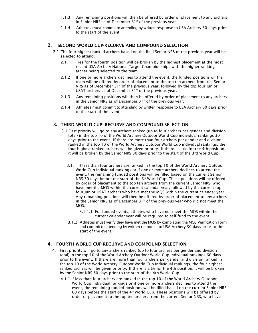- 1.1.3 Any remaining positions will then be offered by order of placement to any archers in Senior NRS as of December  $31<sup>st</sup>$  of the previous year.
- 1.1.4 Athletes must commit to attending by written response to USA Archery 60 days prior to the start of the event.

#### 2. SECOND WORLD CUP-RECURVE AND COMPOUND SELECTION

- 2.1 The four highest ranked archers based on the final Senior NRS of the previous year will be selected to attend.
	- 2.1.1 Ties for the fourth position will be broken by the highest placement at the most recent USA Archery National Target Championships with the higher-ranking archer being selected to the team.
	- 2.1.2 If one or more archers declines to attend the event, the funded positions on the team will be offered by order of placement to the top ten archers from the Senior NRS as of December 31<sup>st</sup> of the previous year, followed by the top four Junior USAT archers as of December  $31<sup>st</sup>$  of the previous year.
	- 2.1.3 Any remaining positions will then be offered by order of placement to any archers in the Senior NRS as of December  $31<sup>st</sup>$  of the previous year.
	- 2.1.4 Athletes must commit to attending by written response to USA Archery 60 days prior to the start of the event.

#### 3. THIRD WORLD CUP- RECURVE AND COMPOUND SELECTION

- $\overline{3}$ .1 First priority will go to any archers ranked (up to four archers per gender and division total) in the top 10 of the World Archery Outdoor World Cup individual rankings 30 days prior to the event. If there are more than four archers per gender and division ranked in the top 10 of the World Archery Outdoor World Cup individual rankings, the four highest ranked archers will be given priority. If there is a tie for the 4th position, it will be broken by the Senior NRS 30 days prior to the start of the 3rd World Cup.
	- 3.1.1 If less than four archers are ranked in the top 10 of the World Archery Outdoor World Cup individual rankings or if one or more archers declines to attend the event, the remaining funded positions will be filled based on the current Senior NRS 30 days before the start of the  $3<sup>rd</sup>$  World Cup. These positions will be offered by order of placement to the top ten archers from the current Senior NRS, who have met the MQS within the current calendar year, followed by the current top four Junior USAT archers who have met the MQS within the current calendar year. Any remaining positions will then be offered by order of placement to any archers in the Senior NRS as of December  $31<sup>st</sup>$  of the previous year who did not meet the MOS.
		- 3.1.1.1 For funded events, athletes who have not meet the MQS within the current calendar year will be required to self-fund to the event.
	- 3.1.2 Athletes must verify they have met the MQS by completing the MQS Verification Form and commit to attending by written response to USA Archery 30 days prior to the start of the event.

#### 4. FOURTH WORLD CUP-RECURVE AND COMPOUND SELECTION

- 4.1 First priority will go to any archers ranked (up to four archers per gender and division total) in the top 10 of the World Archery Outdoor World Cup individual rankings 60 days prior to the event. If there are more than four archers per gender and division ranked in the top 10 of the World Archery Outdoor World Cup individual rankings, the four highest ranked archers will be given priority. If there is a tie for the 4th position, it will be broken by the Senior NRS 60 days prior to the start of the 4th World Cup.
	- 4.1.1 If less than four archers are ranked in the top 10 of the World Archery Outdoor World Cup individual rankings or if one or more archers declines to attend the event, the remaining funded positions will be filled based on the current Senior NRS 60 days before the start of the  $4<sup>th</sup>$  World Cup. These positions will be offered by order of placement to the top ten archers from the current Senior NRS, who have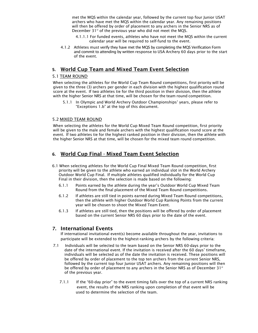met the MQS within the calendar year, followed by the current top four Junior USAT archers who have met the MQS within the calendar year. Any remaining positions will then be offered by order of placement to any archers in the Senior NRS as of December  $31<sup>st</sup>$  of the previous year who did not meet the MQS.

- 4.1.1.1 For funded events, athletes who have not meet the MQS within the current calendar year will be required to self-fund to the event.
- 4.1.2 Athletes must verify they have met the MQS by completing the MQS Verification Form and commit to attending by written response to USA Archery 60 days prior to the start of the event.

#### **5.** World Cup Team and Mixed Team Event Selection

#### 5.1 TEAM ROUND

 When selecting the athletes for the World Cup Team Round competitions, first priority will be given to the three (3) archers per gender in each division with the highest qualification round score at the event. If two athletes tie for the third position in their division, then the athlete with the higher Senior NRS at that time, will be chosen for the team round competition.

 5.1.1 In Olympic and World Archery Outdoor Championships' years, please refer to "Exceptions 1.b" at the top of this document.

#### 5.2 MIXED TEAM ROUND

When selecting the athletes for the World Cup Mixed Team Round competition, first priority will be given to the male and female archers with the highest qualification round score at the event. If two athletes tie for the highest ranked position in their division, then the athlete with the higher Senior NRS at that time, will be chosen for the mixed team round competition.

## **6.** World Cup Final - Mixed Team Event Selection

- 6.1 When selecting athletes for the World Cup Final Mixed Team Round competition, first priority will be given to the athlete who earned an individual slot in the World Archery Outdoor World Cup Final. If multiple athletes qualified individually for the World Cup Final in their division, then the selection is made based on the following:
	- 6.1.1 Points earned by the athlete during the year's Outdoor World Cup Mixed Team Round from the final placement of the Mixed Team Round competitions.
	- 6.1.2 If athletes are still tied in points earned during Mixed Team Round competitions, then the athlete with higher Outdoor World Cup Ranking Points from the current year will be chosen to shoot the Mixed Team Event.
	- 6.1.3 If athletes are still tied, then the positions will be offered by order of placement based on the current Senior NRS 60 days prior to the date of the event.

### 7. International Events

If international invitational event(s) become available throughout the year, invitations to participate will be extended to the highest-ranking archers by the following criteria:

- 7.1 Individuals will be selected to the team based on the Senior NRS 60-days prior to the date of the international event. If the invitation is received after the 60 days' timeframe, individuals will be selected as of the date the invitation is received. These positions will be offered by order of placement to the top ten archers from the current Senior NRS, followed by the current top four Junior USAT archers. Any remaining positions will then be offered by order of placement to any archers in the Senior NRS as of December 31 $\mathrm{^{st}}$ of the previous year.
	- 7.1.1 If the "60-day prior" to the event timing falls over the top of a current NRS ranking event, the results of the NRS ranking upon completion of that event will be used to determine the selection of the team.